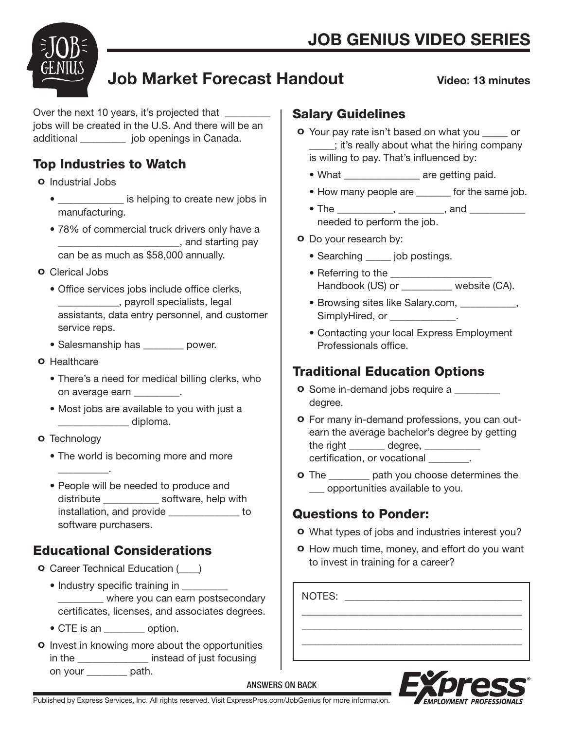

# Job Market Forecast Handout

#### Video: 13 minutes

Over the next 10 years, it's projected that \_\_\_\_\_\_ jobs will be created in the U.S. And there will be an additional \_\_\_\_\_\_\_\_\_ job openings in Canada.

# Top Industries to Watch

#### o Industrial Jobs

- **• b** is helping to create new jobs in manufacturing.
- 78% of commercial truck drivers only have a \_\_\_\_\_\_\_\_\_\_\_\_\_\_\_\_\_\_\_\_\_\_\_\_, and starting pay can be as much as \$58,000 annually.
- o Clerical Jobs
	- Office services jobs include office clerks, \_\_\_\_\_\_\_\_\_\_\_\_, payroll specialists, legal assistants, data entry personnel, and customer service reps.
	- Salesmanship has \_\_\_\_\_\_\_\_ power.
- o Healthcare
	- There's a need for medical billing clerks, who on average earn \_\_\_\_\_\_\_\_\_.
	- Most jobs are available to you with just a  $\Box$  diploma.

#### **o** Technology

 $\frac{1}{2}$  and  $\frac{1}{2}$  and  $\frac{1}{2}$  and  $\frac{1}{2}$ 

- The world is becoming more and more
- People will be needed to produce and distribute \_\_\_\_\_\_\_\_\_\_\_ software, help with installation, and provide \_\_\_\_\_\_\_\_\_\_\_\_\_\_ to software purchasers.

# Educational Considerations

- o Career Technical Education (\_\_\_\_)
	- Industry specific training in where you can earn postsecondary certificates, licenses, and associates degrees.
	- CTE is an \_\_\_\_\_\_\_\_ option.
- $\circ$  Invest in knowing more about the opportunities in the \_\_\_\_\_\_\_\_\_\_\_\_\_\_ instead of just focusing on your \_\_\_\_\_\_\_\_ path.

### Salary Guidelines

- o Your pay rate isn't based on what you \_\_\_\_\_ or \_\_\_\_\_; it's really about what the hiring company is willing to pay. That's influenced by:
	- What \_\_\_\_\_\_\_\_\_\_\_\_\_\_\_ are getting paid.
	- How many people are \_\_\_\_\_\_\_ for the same job.
	- The \_\_\_\_\_\_\_\_\_\_\_, \_\_\_\_\_\_\_\_\_, and \_\_\_\_\_\_\_\_\_\_\_ needed to perform the job.

#### o Do your research by:

- Searching \_\_\_\_\_\_ job postings.
- Referring to the \_\_\_\_\_\_\_\_\_\_\_\_\_\_\_\_\_\_\_\_ Handbook (US) or \_\_\_\_\_\_\_\_\_\_ website (CA).
- Browsing sites like Salary.com, \_\_\_\_\_\_\_\_\_\_\_, SimplyHired, or \_\_\_\_\_\_\_\_\_\_\_\_\_.
- Contacting your local Express Employment Professionals office.

# Traditional Education Options

- **o** Some in-demand jobs require a \_\_\_\_\_\_\_\_ degree.
- o For many in-demand professions, you can out earn the average bachelor's degree by getting the right \_\_\_\_\_\_\_ degree, \_\_\_\_\_\_\_\_\_\_ certification, or vocational \_\_\_\_\_\_\_\_.
- **o** The \_\_\_\_\_\_\_\_ path you choose determines the \_\_\_ opportunities available to you.

### Questions to Ponder:

- o What types of jobs and industries interest you?
- o How much time, money, and effort do you want to invest in training for a career?

\_\_\_\_\_\_\_\_\_\_\_\_\_\_\_\_\_\_\_\_\_\_\_\_\_\_\_\_\_\_\_\_\_\_\_\_\_\_\_\_\_\_\_ \_\_\_\_\_\_\_\_\_\_\_\_\_\_\_\_\_\_\_\_\_\_\_\_\_\_\_\_\_\_\_\_\_\_\_\_\_\_\_\_\_\_\_ \_\_\_\_\_\_\_\_\_\_\_\_\_\_\_\_\_\_\_\_\_\_\_\_\_\_\_\_\_\_\_\_\_\_\_\_\_\_\_\_\_\_\_

NOTES: \_\_\_\_\_\_\_\_\_\_\_\_\_\_\_\_\_\_\_\_\_\_\_\_\_\_\_\_\_\_\_\_\_\_\_



Published by Express Services, Inc. All rights reserved. Visit ExpressPros.com/JobGenius for more information.

ANSWERS ON BACK